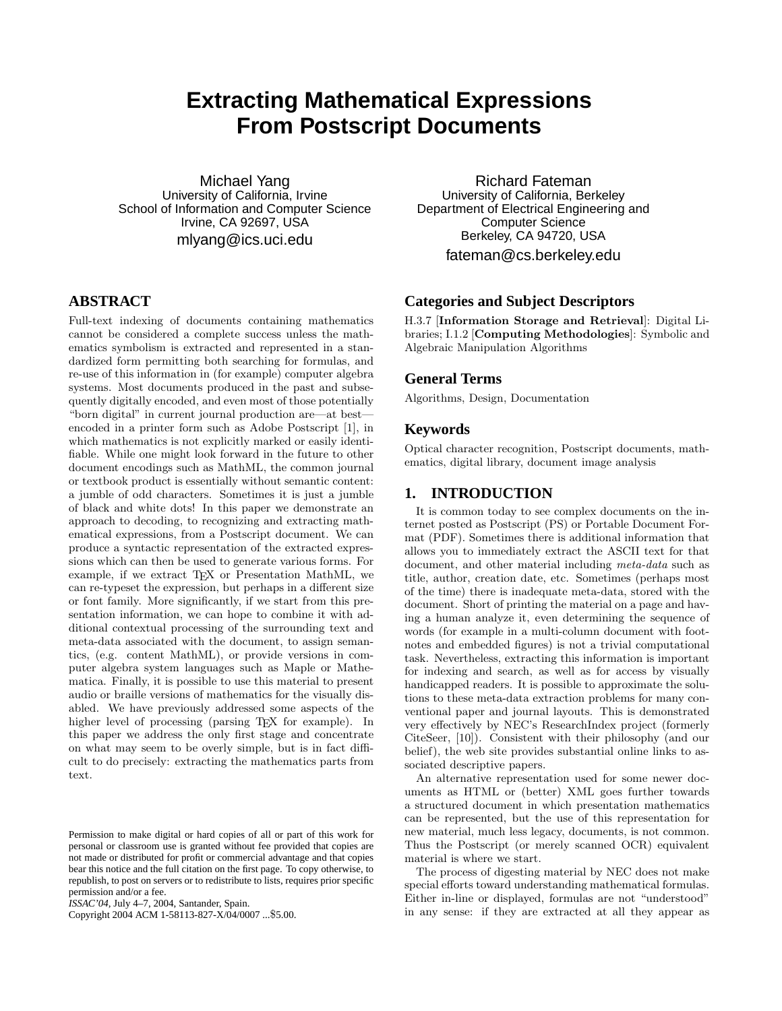# **Extracting Mathematical Expressions From Postscript Documents**

Michael Yang University of California, Irvine School of Information and Computer Science Irvine, CA 92697, USA mlyang@ics.uci.edu

# **ABSTRACT**

Full-text indexing of documents containing mathematics cannot be considered a complete success unless the mathematics symbolism is extracted and represented in a standardized form permitting both searching for formulas, and re-use of this information in (for example) computer algebra systems. Most documents produced in the past and subsequently digitally encoded, and even most of those potentially "born digital" in current journal production are—at best encoded in a printer form such as Adobe Postscript [1], in which mathematics is not explicitly marked or easily identifiable. While one might look forward in the future to other document encodings such as MathML, the common journal or textbook product is essentially without semantic content: a jumble of odd characters. Sometimes it is just a jumble of black and white dots! In this paper we demonstrate an approach to decoding, to recognizing and extracting mathematical expressions, from a Postscript document. We can produce a syntactic representation of the extracted expressions which can then be used to generate various forms. For example, if we extract T<sub>E</sub>X or Presentation MathML, we can re-typeset the expression, but perhaps in a different size or font family. More significantly, if we start from this presentation information, we can hope to combine it with additional contextual processing of the surrounding text and meta-data associated with the document, to assign semantics, (e.g. content MathML), or provide versions in computer algebra system languages such as Maple or Mathematica. Finally, it is possible to use this material to present audio or braille versions of mathematics for the visually disabled. We have previously addressed some aspects of the higher level of processing (parsing TEX for example). In this paper we address the only first stage and concentrate on what may seem to be overly simple, but is in fact difficult to do precisely: extracting the mathematics parts from text.

*ISSAC'04,* July 4–7, 2004, Santander, Spain.

Copyright 2004 ACM 1-58113-827-X/04/0007 ...\$5.00.

Richard Fateman University of California, Berkeley Department of Electrical Engineering and Computer Science Berkeley, CA 94720, USA fateman@cs.berkeley.edu

## **Categories and Subject Descriptors**

H.3.7 [Information Storage and Retrieval]: Digital Libraries; I.1.2 [Computing Methodologies]: Symbolic and Algebraic Manipulation Algorithms

#### **General Terms**

Algorithms, Design, Documentation

#### **Keywords**

Optical character recognition, Postscript documents, mathematics, digital library, document image analysis

#### **1. INTRODUCTION**

It is common today to see complex documents on the internet posted as Postscript (PS) or Portable Document Format (PDF). Sometimes there is additional information that allows you to immediately extract the ASCII text for that document, and other material including meta-data such as title, author, creation date, etc. Sometimes (perhaps most of the time) there is inadequate meta-data, stored with the document. Short of printing the material on a page and having a human analyze it, even determining the sequence of words (for example in a multi-column document with footnotes and embedded figures) is not a trivial computational task. Nevertheless, extracting this information is important for indexing and search, as well as for access by visually handicapped readers. It is possible to approximate the solutions to these meta-data extraction problems for many conventional paper and journal layouts. This is demonstrated very effectively by NEC's ResearchIndex project (formerly CiteSeer, [10]). Consistent with their philosophy (and our belief), the web site provides substantial online links to associated descriptive papers.

An alternative representation used for some newer documents as HTML or (better) XML goes further towards a structured document in which presentation mathematics can be represented, but the use of this representation for new material, much less legacy, documents, is not common. Thus the Postscript (or merely scanned OCR) equivalent material is where we start.

The process of digesting material by NEC does not make special efforts toward understanding mathematical formulas. Either in-line or displayed, formulas are not "understood" in any sense: if they are extracted at all they appear as

Permission to make digital or hard copies of all or part of this work for personal or classroom use is granted without fee provided that copies are not made or distributed for profit or commercial advantage and that copies bear this notice and the full citation on the first page. To copy otherwise, to republish, to post on servers or to redistribute to lists, requires prior specific permission and/or a fee.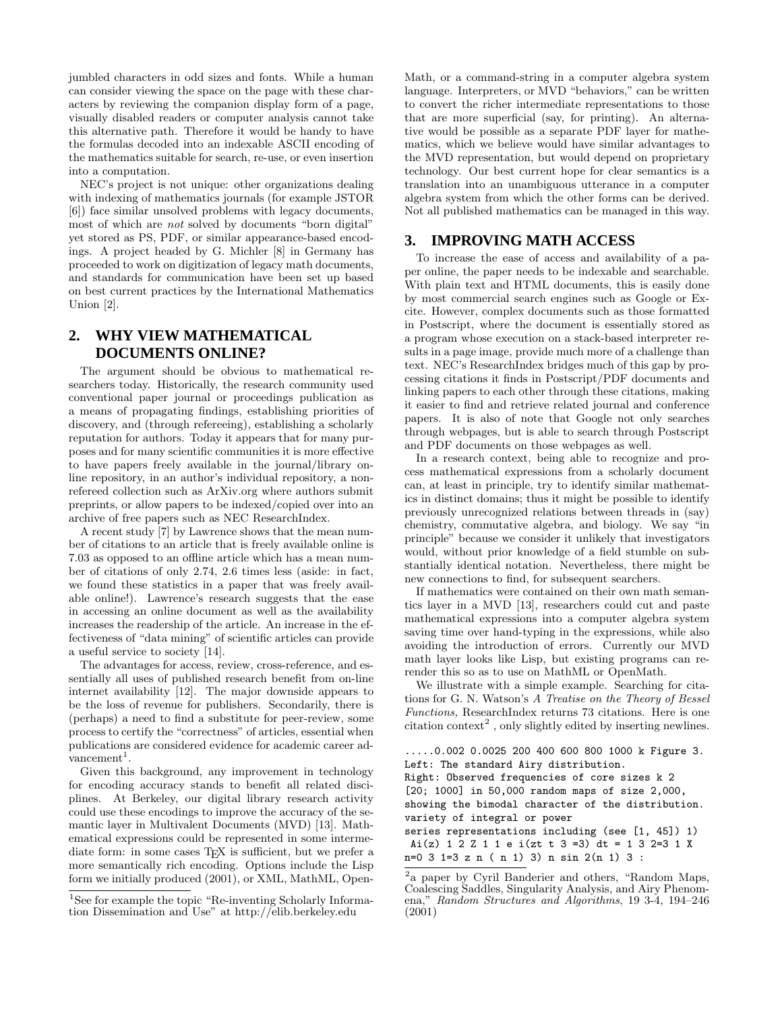jumbled characters in odd sizes and fonts. While a human can consider viewing the space on the page with these characters by reviewing the companion display form of a page, visually disabled readers or computer analysis cannot take this alternative path. Therefore it would be handy to have the formulas decoded into an indexable ASCII encoding of the mathematics suitable for search, re-use, or even insertion into a computation.

NEC's project is not unique: other organizations dealing with indexing of mathematics journals (for example JSTOR [6]) face similar unsolved problems with legacy documents, most of which are not solved by documents "born digital" yet stored as PS, PDF, or similar appearance-based encodings. A project headed by G. Michler [8] in Germany has proceeded to work on digitization of legacy math documents, and standards for communication have been set up based on best current practices by the International Mathematics Union [2].

## **2. WHY VIEW MATHEMATICAL DOCUMENTS ONLINE?**

The argument should be obvious to mathematical researchers today. Historically, the research community used conventional paper journal or proceedings publication as a means of propagating findings, establishing priorities of discovery, and (through refereeing), establishing a scholarly reputation for authors. Today it appears that for many purposes and for many scientific communities it is more effective to have papers freely available in the journal/library online repository, in an author's individual repository, a nonrefereed collection such as ArXiv.org where authors submit preprints, or allow papers to be indexed/copied over into an archive of free papers such as NEC ResearchIndex.

A recent study [7] by Lawrence shows that the mean number of citations to an article that is freely available online is 7.03 as opposed to an offline article which has a mean number of citations of only 2.74, 2.6 times less (aside: in fact, we found these statistics in a paper that was freely available online!). Lawrence's research suggests that the ease in accessing an online document as well as the availability increases the readership of the article. An increase in the effectiveness of "data mining" of scientific articles can provide a useful service to society [14].

The advantages for access, review, cross-reference, and essentially all uses of published research benefit from on-line internet availability [12]. The major downside appears to be the loss of revenue for publishers. Secondarily, there is (perhaps) a need to find a substitute for peer-review, some process to certify the "correctness" of articles, essential when publications are considered evidence for academic career advancement<sup>1</sup>.

Given this background, any improvement in technology for encoding accuracy stands to benefit all related disciplines. At Berkeley, our digital library research activity could use these encodings to improve the accuracy of the semantic layer in Multivalent Documents (MVD) [13]. Mathematical expressions could be represented in some intermediate form: in some cases T<sub>F</sub>X is sufficient, but we prefer a more semantically rich encoding. Options include the Lisp form we initially produced (2001), or XML, MathML, OpenMath, or a command-string in a computer algebra system language. Interpreters, or MVD "behaviors," can be written to convert the richer intermediate representations to those that are more superficial (say, for printing). An alternative would be possible as a separate PDF layer for mathematics, which we believe would have similar advantages to the MVD representation, but would depend on proprietary technology. Our best current hope for clear semantics is a translation into an unambiguous utterance in a computer algebra system from which the other forms can be derived. Not all published mathematics can be managed in this way.

## **3. IMPROVING MATH ACCESS**

To increase the ease of access and availability of a paper online, the paper needs to be indexable and searchable. With plain text and HTML documents, this is easily done by most commercial search engines such as Google or Excite. However, complex documents such as those formatted in Postscript, where the document is essentially stored as a program whose execution on a stack-based interpreter results in a page image, provide much more of a challenge than text. NEC's ResearchIndex bridges much of this gap by processing citations it finds in Postscript/PDF documents and linking papers to each other through these citations, making it easier to find and retrieve related journal and conference papers. It is also of note that Google not only searches through webpages, but is able to search through Postscript and PDF documents on those webpages as well.

In a research context, being able to recognize and process mathematical expressions from a scholarly document can, at least in principle, try to identify similar mathematics in distinct domains; thus it might be possible to identify previously unrecognized relations between threads in (say) chemistry, commutative algebra, and biology. We say "in principle" because we consider it unlikely that investigators would, without prior knowledge of a field stumble on substantially identical notation. Nevertheless, there might be new connections to find, for subsequent searchers.

If mathematics were contained on their own math semantics layer in a MVD [13], researchers could cut and paste mathematical expressions into a computer algebra system saving time over hand-typing in the expressions, while also avoiding the introduction of errors. Currently our MVD math layer looks like Lisp, but existing programs can rerender this so as to use on MathML or OpenMath.

We illustrate with a simple example. Searching for citations for G. N. Watson's A Treatise on the Theory of Bessel Functions, ResearchIndex returns 73 citations. Here is one citation context<sup>2</sup>, only slightly edited by inserting newlines.

.....0.002 0.0025 200 400 600 800 1000 k Figure 3. Left: The standard Airy distribution. Right: Observed frequencies of core sizes k 2 [20; 1000] in 50,000 random maps of size 2,000, showing the bimodal character of the distribution. variety of integral or power series representations including (see [1, 45]) 1) Ai(z) 1 2 Z 1 1 e i(zt t 3 = 3) dt = 1 3 2 = 3 1 X n=0 3 1=3 z n ( n 1) 3) n sin 2(n 1) 3 :

<sup>&</sup>lt;sup>1</sup>See for example the topic "Re-inventing Scholarly Information Dissemination and Use" at http://elib.berkeley.edu

<sup>&</sup>lt;sup>2</sup>a paper by Cyril Banderier and others, "Random Maps, Coalescing Saddles, Singularity Analysis, and Airy Phenomena," Random Structures and Algorithms, 19 3-4, 194–246 (2001)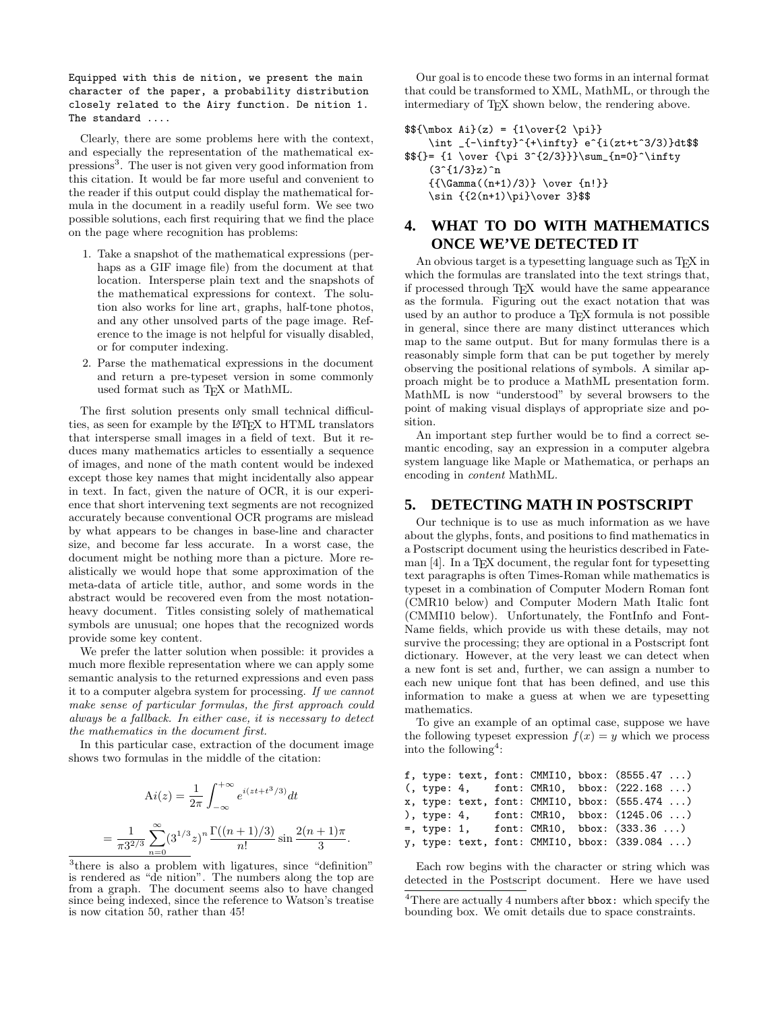#### Equipped with this de nition, we present the main character of the paper, a probability distribution closely related to the Airy function. De nition 1. The standard ....

Clearly, there are some problems here with the context, and especially the representation of the mathematical expressions<sup>3</sup>. The user is not given very good information from this citation. It would be far more useful and convenient to the reader if this output could display the mathematical formula in the document in a readily useful form. We see two possible solutions, each first requiring that we find the place on the page where recognition has problems:

- 1. Take a snapshot of the mathematical expressions (perhaps as a GIF image file) from the document at that location. Intersperse plain text and the snapshots of the mathematical expressions for context. The solution also works for line art, graphs, half-tone photos, and any other unsolved parts of the page image. Reference to the image is not helpful for visually disabled, or for computer indexing.
- 2. Parse the mathematical expressions in the document and return a pre-typeset version in some commonly used format such as T<sub>E</sub>X or MathML.

The first solution presents only small technical difficulties, as seen for example by the L<sup>AT</sup>EX to HTML translators that intersperse small images in a field of text. But it reduces many mathematics articles to essentially a sequence of images, and none of the math content would be indexed except those key names that might incidentally also appear in text. In fact, given the nature of OCR, it is our experience that short intervening text segments are not recognized accurately because conventional OCR programs are mislead by what appears to be changes in base-line and character size, and become far less accurate. In a worst case, the document might be nothing more than a picture. More realistically we would hope that some approximation of the meta-data of article title, author, and some words in the abstract would be recovered even from the most notationheavy document. Titles consisting solely of mathematical symbols are unusual; one hopes that the recognized words provide some key content.

We prefer the latter solution when possible: it provides a much more flexible representation where we can apply some semantic analysis to the returned expressions and even pass it to a computer algebra system for processing. If we cannot make sense of particular formulas, the first approach could always be a fallback. In either case, it is necessary to detect the mathematics in the document first.

In this particular case, extraction of the document image shows two formulas in the middle of the citation:

$$
Ai(z) = \frac{1}{2\pi} \int_{-\infty}^{+\infty} e^{i(zt+t^3/3)} dt
$$

$$
= \frac{1}{\pi 3^{2/3}} \sum_{n=0}^{\infty} (3^{1/3}z)^n \frac{\Gamma((n+1)/3)}{n!} \sin \frac{2(n+1)\pi}{3}
$$

.

=

Our goal is to encode these two forms in an internal format that could be transformed to XML, MathML, or through the intermediary of T<sub>E</sub>X shown below, the rendering above.

 $\$\{\mbox{Ai}(z) = \{1\over2 \pi}\}$ \int \_{-\infty}^{+\infty} e^{i(zt+t^3/3)}dt\$\$  $$f}= {1 \over {\pi} 3^{2/3}}\sum_{n=0}^{\infty}$ (3^{1/3}z)^n  ${\{\langle \texttt{Gamma((n+1)/3)} \ \over \{n!\}}\}$ \sin {{2(n+1)\pi}\over 3}\$\$

# **4. WHAT TO DO WITH MATHEMATICS ONCE WE'VE DETECTED IT**

An obvious target is a typesetting language such as TEX in which the formulas are translated into the text strings that, if processed through TEX would have the same appearance as the formula. Figuring out the exact notation that was used by an author to produce a T<sub>E</sub>X formula is not possible in general, since there are many distinct utterances which map to the same output. But for many formulas there is a reasonably simple form that can be put together by merely observing the positional relations of symbols. A similar approach might be to produce a MathML presentation form. MathML is now "understood" by several browsers to the point of making visual displays of appropriate size and position.

An important step further would be to find a correct semantic encoding, say an expression in a computer algebra system language like Maple or Mathematica, or perhaps an encoding in content MathML.

## **5. DETECTING MATH IN POSTSCRIPT**

Our technique is to use as much information as we have about the glyphs, fonts, and positions to find mathematics in a Postscript document using the heuristics described in Fateman  $[4]$ . In a T<sub>EX</sub> document, the regular font for typesetting text paragraphs is often Times-Roman while mathematics is typeset in a combination of Computer Modern Roman font (CMR10 below) and Computer Modern Math Italic font (CMMI10 below). Unfortunately, the FontInfo and Font-Name fields, which provide us with these details, may not survive the processing; they are optional in a Postscript font dictionary. However, at the very least we can detect when a new font is set and, further, we can assign a number to each new unique font that has been defined, and use this information to make a guess at when we are typesetting mathematics.

To give an example of an optimal case, suppose we have the following typeset expression  $f(x) = y$  which we process into the following<sup>4</sup>:

|  |  |  | $f$ , type: text, font: CMMI10, bbox: $(8555.47)$                          |
|--|--|--|----------------------------------------------------------------------------|
|  |  |  | $(\text{type: } 4, \text{ font: } CMR10, \text{ bbox: } (222.168 \ldots))$ |
|  |  |  | x, type: text, font: CMMI10, bbox: (555.474 )                              |
|  |  |  | ), type: 4, font: CMR10, bbox: $(1245.06)$                                 |
|  |  |  | =, type: 1, font: CMR10, bbox: (333.36 )                                   |
|  |  |  | y, type: text, font: $CMM110$ , bbox: $(339.084)$                          |

Each row begins with the character or string which was detected in the Postscript document. Here we have used

<sup>3</sup> there is also a problem with ligatures, since "definition" is rendered as "de nition". The numbers along the top are from a graph. The document seems also to have changed since being indexed, since the reference to Watson's treatise is now citation 50, rather than 45!

<sup>4</sup>There are actually 4 numbers after bbox: which specify the bounding box. We omit details due to space constraints.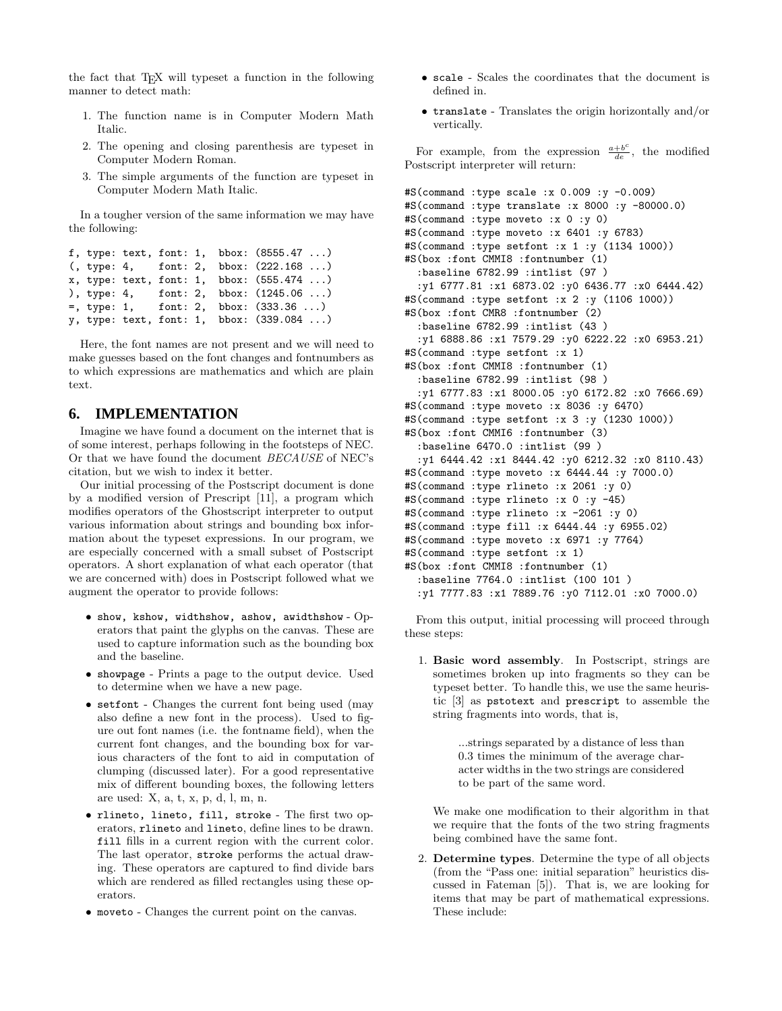the fact that TEX will typeset a function in the following manner to detect math:

- 1. The function name is in Computer Modern Math Italic.
- 2. The opening and closing parenthesis are typeset in Computer Modern Roman.
- 3. The simple arguments of the function are typeset in Computer Modern Math Italic.

In a tougher version of the same information we may have the following:

```
f, type: text, font: 1, bbox: (8555.47 ...)
(, type: 4, font: 2, bbox: (222.168 ...)
x, type: text, font: 1, bbox: (555.474 ...)
), type: 4, font: 2, bbox: (1245.06 ...)
=, type: 1, font: 2, bbox: (333.36 ...)
y, type: text, font: 1, bbox: (339.084 ...)
```
Here, the font names are not present and we will need to make guesses based on the font changes and fontnumbers as to which expressions are mathematics and which are plain text.

## **6. IMPLEMENTATION**

Imagine we have found a document on the internet that is of some interest, perhaps following in the footsteps of NEC. Or that we have found the document BECAUSE of NEC's citation, but we wish to index it better.

Our initial processing of the Postscript document is done by a modified version of Prescript [11], a program which modifies operators of the Ghostscript interpreter to output various information about strings and bounding box information about the typeset expressions. In our program, we are especially concerned with a small subset of Postscript operators. A short explanation of what each operator (that we are concerned with) does in Postscript followed what we augment the operator to provide follows:

- $\bullet$  show, kshow, widthshow, ashow, awidthshow  $Op$ erators that paint the glyphs on the canvas. These are used to capture information such as the bounding box and the baseline.
- showpage Prints a page to the output device. Used to determine when we have a new page.
- setfont Changes the current font being used (may also define a new font in the process). Used to figure out font names (i.e. the fontname field), when the current font changes, and the bounding box for various characters of the font to aid in computation of clumping (discussed later). For a good representative mix of different bounding boxes, the following letters are used: X, a, t, x, p, d, l, m, n.
- rlineto, lineto, fill, stroke The first two operators, rlineto and lineto, define lines to be drawn. fill fills in a current region with the current color. The last operator, stroke performs the actual drawing. These operators are captured to find divide bars which are rendered as filled rectangles using these operators.
- moveto Changes the current point on the canvas.
- scale Scales the coordinates that the document is defined in.
- translate Translates the origin horizontally and/or vertically.

For example, from the expression  $\frac{a+b^c}{de}$ , the modified Postscript interpreter will return:

```
#S(command :type scale :x 0.009 :y -0.009)
#S(command :type translate :x 8000 :y -80000.0)
#S(command :type moveto :x 0 :y 0)
#S(command :type moveto :x 6401 :y 6783)
#S(command :type setfont :x 1 :y (1134 1000))
#S(box :font CMMI8 :fontnumber (1)
  :baseline 6782.99 :intlist (97 )
  :y1 6777.81 :x1 6873.02 :y0 6436.77 :x0 6444.42)
#S(command :type setfont :x 2 :y (1106 1000))
#S(box :font CMR8 :fontnumber (2)
  :baseline 6782.99 :intlist (43 )
  :y1 6888.86 :x1 7579.29 :y0 6222.22 :x0 6953.21)
#S(command :type setfont :x 1)
#S(box :font CMMI8 :fontnumber (1)
  :baseline 6782.99 :intlist (98 )
  :y1 6777.83 :x1 8000.05 :y0 6172.82 :x0 7666.69)
#S(command :type moveto :x 8036 :y 6470)
#S(command :type setfont :x 3 :y (1230 1000))
#S(box :font CMMI6 :fontnumber (3)
  :baseline 6470.0 :intlist (99 )
  :y1 6444.42 :x1 8444.42 :y0 6212.32 :x0 8110.43)
#S(command :type moveto :x 6444.44 :y 7000.0)
#S(command :type rlineto :x 2061 :y 0)
#S(command :type rlineto :x 0 :y -45)
#S(command :type rlineto :x -2061 :y 0)
#S(command :type fill :x 6444.44 :y 6955.02)
#S(command :type moveto :x 6971 :y 7764)
#S(command :type setfont :x 1)
#S(box :font CMMI8 :fontnumber (1)
  :baseline 7764.0 :intlist (100 101 )
  :y1 7777.83 :x1 7889.76 :y0 7112.01 :x0 7000.0)
```
From this output, initial processing will proceed through these steps:

1. Basic word assembly. In Postscript, strings are sometimes broken up into fragments so they can be typeset better. To handle this, we use the same heuristic [3] as pstotext and prescript to assemble the string fragments into words, that is,

> ...strings separated by a distance of less than 0.3 times the minimum of the average character widths in the two strings are considered to be part of the same word.

We make one modification to their algorithm in that we require that the fonts of the two string fragments being combined have the same font.

2. Determine types. Determine the type of all objects (from the "Pass one: initial separation" heuristics discussed in Fateman [5]). That is, we are looking for items that may be part of mathematical expressions. These include: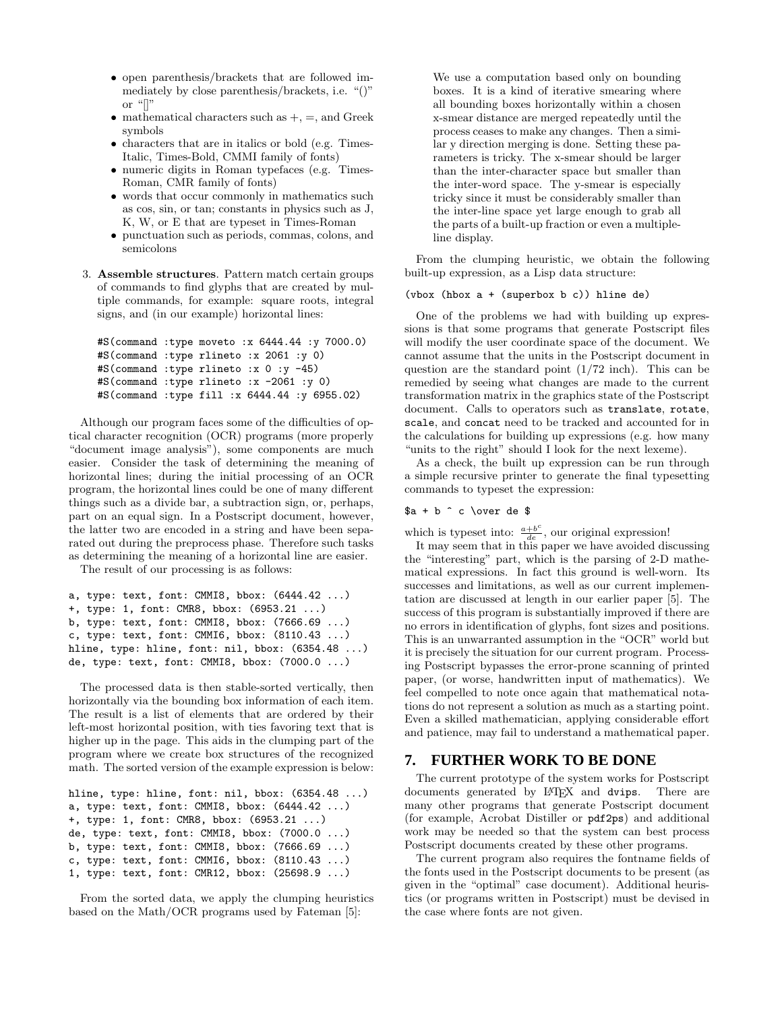- open parenthesis/brackets that are followed immediately by close parenthesis/brackets, i.e. "()" or " $[]$ "
- mathematical characters such as  $+$ ,  $=$ , and Greek symbols
- characters that are in italics or bold (e.g. Times-Italic, Times-Bold, CMMI family of fonts)
- numeric digits in Roman typefaces (e.g. Times-Roman, CMR family of fonts)
- words that occur commonly in mathematics such as cos, sin, or tan; constants in physics such as J, K, W, or E that are typeset in Times-Roman
- punctuation such as periods, commas, colons, and semicolons
- 3. Assemble structures. Pattern match certain groups of commands to find glyphs that are created by multiple commands, for example: square roots, integral signs, and (in our example) horizontal lines:

```
#S(command :type moveto :x 6444.44 :y 7000.0)
#S(command :type rlineto :x 2061 :y 0)
#S(command :type rlineto :x 0 :y -45)
#S(command :type rlineto :x -2061 :y 0)
#S(command :type fill :x 6444.44 :y 6955.02)
```
Although our program faces some of the difficulties of optical character recognition (OCR) programs (more properly "document image analysis"), some components are much easier. Consider the task of determining the meaning of horizontal lines; during the initial processing of an OCR program, the horizontal lines could be one of many different things such as a divide bar, a subtraction sign, or, perhaps, part on an equal sign. In a Postscript document, however, the latter two are encoded in a string and have been separated out during the preprocess phase. Therefore such tasks as determining the meaning of a horizontal line are easier.

The result of our processing is as follows:

```
a, type: text, font: CMMI8, bbox: (6444.42 ...)
+, type: 1, font: CMR8, bbox: (6953.21 ...)
b, type: text, font: CMMI8, bbox: (7666.69 ...)
c, type: text, font: CMMI6, bbox: (8110.43 ...)
hline, type: hline, font: nil, bbox: (6354.48 ...)
de, type: text, font: CMMI8, bbox: (7000.0 ...)
```
The processed data is then stable-sorted vertically, then horizontally via the bounding box information of each item. The result is a list of elements that are ordered by their left-most horizontal position, with ties favoring text that is higher up in the page. This aids in the clumping part of the program where we create box structures of the recognized math. The sorted version of the example expression is below:

```
hline, type: hline, font: nil, bbox: (6354.48 ...)
a, type: text, font: CMMI8, bbox: (6444.42 ...)
+, type: 1, font: CMR8, bbox: (6953.21 ...)
de, type: text, font: CMMI8, bbox: (7000.0 ...)
b, type: text, font: CMMI8, bbox: (7666.69 ...)
c, type: text, font: CMMI6, bbox: (8110.43 ...)
1, type: text, font: CMR12, bbox: (25698.9 ...)
```
From the sorted data, we apply the clumping heuristics based on the Math/OCR programs used by Fateman [5]:

We use a computation based only on bounding boxes. It is a kind of iterative smearing where all bounding boxes horizontally within a chosen x-smear distance are merged repeatedly until the process ceases to make any changes. Then a similar y direction merging is done. Setting these parameters is tricky. The x-smear should be larger than the inter-character space but smaller than the inter-word space. The y-smear is especially tricky since it must be considerably smaller than the inter-line space yet large enough to grab all the parts of a built-up fraction or even a multipleline display.

From the clumping heuristic, we obtain the following built-up expression, as a Lisp data structure:

#### (vbox (hbox a + (superbox b c)) hline de)

One of the problems we had with building up expressions is that some programs that generate Postscript files will modify the user coordinate space of the document. We cannot assume that the units in the Postscript document in question are the standard point  $(1/72 \text{ inch})$ . This can be remedied by seeing what changes are made to the current transformation matrix in the graphics state of the Postscript document. Calls to operators such as translate, rotate, scale, and concat need to be tracked and accounted for in the calculations for building up expressions (e.g. how many "units to the right" should I look for the next lexeme).

As a check, the built up expression can be run through a simple recursive printer to generate the final typesetting commands to typeset the expression:

#### $a + b \n c \overline\n$

which is typeset into:  $\frac{a+b^c}{de}$ , our original expression!

It may seem that in this paper we have avoided discussing the "interesting" part, which is the parsing of 2-D mathematical expressions. In fact this ground is well-worn. Its successes and limitations, as well as our current implementation are discussed at length in our earlier paper [5]. The success of this program is substantially improved if there are no errors in identification of glyphs, font sizes and positions. This is an unwarranted assumption in the "OCR" world but it is precisely the situation for our current program. Processing Postscript bypasses the error-prone scanning of printed paper, (or worse, handwritten input of mathematics). We feel compelled to note once again that mathematical notations do not represent a solution as much as a starting point. Even a skilled mathematician, applying considerable effort and patience, may fail to understand a mathematical paper.

## **7. FURTHER WORK TO BE DONE**

The current prototype of the system works for Postscript documents generated by L<sup>AT</sup>EX and dvips. There are many other programs that generate Postscript document (for example, Acrobat Distiller or pdf2ps) and additional work may be needed so that the system can best process Postscript documents created by these other programs.

The current program also requires the fontname fields of the fonts used in the Postscript documents to be present (as given in the "optimal" case document). Additional heuristics (or programs written in Postscript) must be devised in the case where fonts are not given.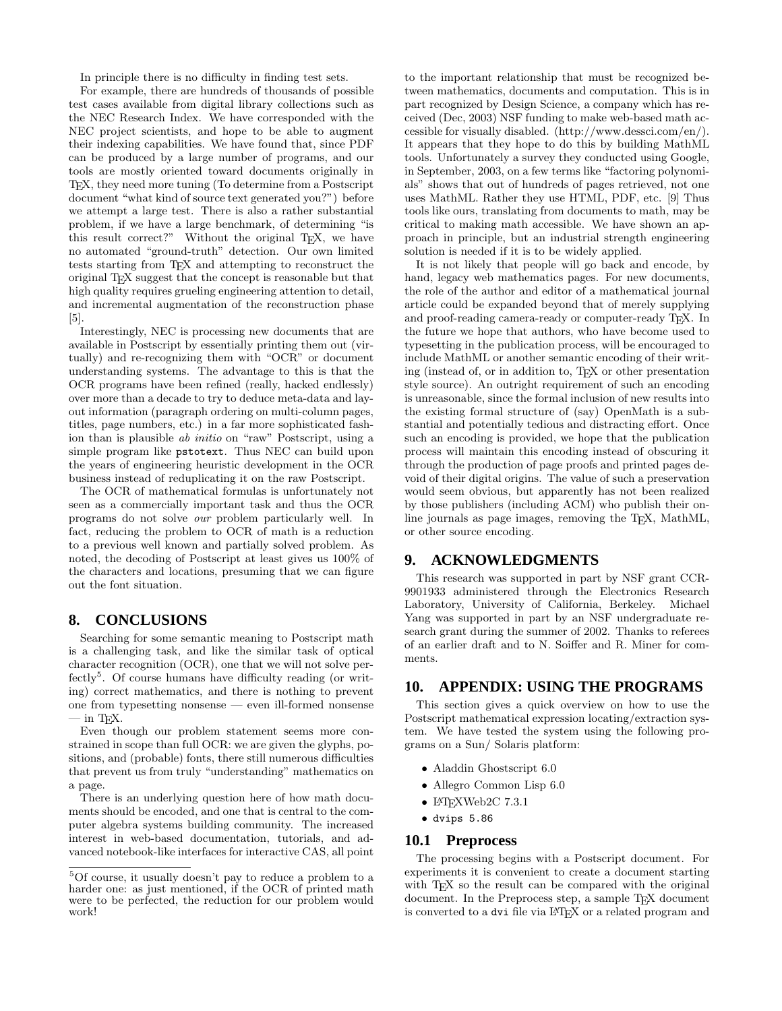In principle there is no difficulty in finding test sets.

For example, there are hundreds of thousands of possible test cases available from digital library collections such as the NEC Research Index. We have corresponded with the NEC project scientists, and hope to be able to augment their indexing capabilities. We have found that, since PDF can be produced by a large number of programs, and our tools are mostly oriented toward documents originally in TEX, they need more tuning (To determine from a Postscript document "what kind of source text generated you?") before we attempt a large test. There is also a rather substantial problem, if we have a large benchmark, of determining "is this result correct?" Without the original T<sub>E</sub>X, we have no automated "ground-truth" detection. Our own limited tests starting from T<sub>E</sub>X and attempting to reconstruct the original T<sub>E</sub>X suggest that the concept is reasonable but that high quality requires grueling engineering attention to detail, and incremental augmentation of the reconstruction phase  $|5|$ .

Interestingly, NEC is processing new documents that are available in Postscript by essentially printing them out (virtually) and re-recognizing them with "OCR" or document understanding systems. The advantage to this is that the OCR programs have been refined (really, hacked endlessly) over more than a decade to try to deduce meta-data and layout information (paragraph ordering on multi-column pages, titles, page numbers, etc.) in a far more sophisticated fashion than is plausible ab initio on "raw" Postscript, using a simple program like pstotext. Thus NEC can build upon the years of engineering heuristic development in the OCR business instead of reduplicating it on the raw Postscript.

The OCR of mathematical formulas is unfortunately not seen as a commercially important task and thus the OCR programs do not solve our problem particularly well. In fact, reducing the problem to OCR of math is a reduction to a previous well known and partially solved problem. As noted, the decoding of Postscript at least gives us 100% of the characters and locations, presuming that we can figure out the font situation.

## **8. CONCLUSIONS**

Searching for some semantic meaning to Postscript math is a challenging task, and like the similar task of optical character recognition (OCR), one that we will not solve perfectly<sup>5</sup>. Of course humans have difficulty reading (or writing) correct mathematics, and there is nothing to prevent one from typesetting nonsense — even ill-formed nonsense  $-$  in TeX.

Even though our problem statement seems more constrained in scope than full OCR: we are given the glyphs, positions, and (probable) fonts, there still numerous difficulties that prevent us from truly "understanding" mathematics on a page.

There is an underlying question here of how math documents should be encoded, and one that is central to the computer algebra systems building community. The increased interest in web-based documentation, tutorials, and advanced notebook-like interfaces for interactive CAS, all point to the important relationship that must be recognized between mathematics, documents and computation. This is in part recognized by Design Science, a company which has received (Dec, 2003) NSF funding to make web-based math accessible for visually disabled. (http://www.dessci.com/en/). It appears that they hope to do this by building MathML tools. Unfortunately a survey they conducted using Google, in September, 2003, on a few terms like "factoring polynomials" shows that out of hundreds of pages retrieved, not one uses MathML. Rather they use HTML, PDF, etc. [9] Thus tools like ours, translating from documents to math, may be critical to making math accessible. We have shown an approach in principle, but an industrial strength engineering solution is needed if it is to be widely applied.

It is not likely that people will go back and encode, by hand, legacy web mathematics pages. For new documents, the role of the author and editor of a mathematical journal article could be expanded beyond that of merely supplying and proof-reading camera-ready or computer-ready T<sub>E</sub>X. In the future we hope that authors, who have become used to typesetting in the publication process, will be encouraged to include MathML or another semantic encoding of their writing (instead of, or in addition to, TEX or other presentation style source). An outright requirement of such an encoding is unreasonable, since the formal inclusion of new results into the existing formal structure of (say) OpenMath is a substantial and potentially tedious and distracting effort. Once such an encoding is provided, we hope that the publication process will maintain this encoding instead of obscuring it through the production of page proofs and printed pages devoid of their digital origins. The value of such a preservation would seem obvious, but apparently has not been realized by those publishers (including ACM) who publish their online journals as page images, removing the T<sub>E</sub>X, MathML, or other source encoding.

## **9. ACKNOWLEDGMENTS**

This research was supported in part by NSF grant CCR-9901933 administered through the Electronics Research Laboratory, University of California, Berkeley. Michael Yang was supported in part by an NSF undergraduate research grant during the summer of 2002. Thanks to referees of an earlier draft and to N. Soiffer and R. Miner for comments.

## **10. APPENDIX: USING THE PROGRAMS**

This section gives a quick overview on how to use the Postscript mathematical expression locating/extraction system. We have tested the system using the following programs on a Sun/ Solaris platform:

- Aladdin Ghostscript 6.0
- Allegro Common Lisp 6.0
- LAT $\overline{\text{FXWeb2C}}$  7.3.1
- dvips 5.86

#### **10.1 Preprocess**

The processing begins with a Postscript document. For experiments it is convenient to create a document starting with T<sub>E</sub>X so the result can be compared with the original document. In the Preprocess step, a sample TEX document is converted to a dvi file via LATEX or a related program and

<sup>5</sup>Of course, it usually doesn't pay to reduce a problem to a harder one: as just mentioned, if the OCR of printed math were to be perfected, the reduction for our problem would work!